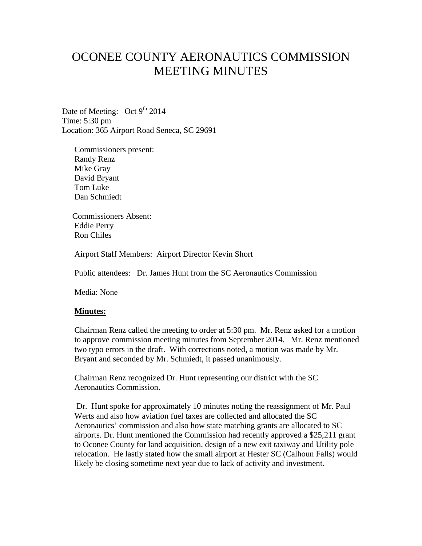## OCONEE COUNTY AERONAUTICS COMMISSION MEETING MINUTES

Date of Meeting: Oct 9<sup>th</sup> 2014 Time: 5:30 pm Location: 365 Airport Road Seneca, SC 29691

Commissioners present: Randy Renz Mike Gray David Bryant Tom Luke Dan Schmiedt

 Commissioners Absent: Eddie Perry Ron Chiles

Airport Staff Members: Airport Director Kevin Short

Public attendees: Dr. James Hunt from the SC Aeronautics Commission

Media: None

## **Minutes:**

Chairman Renz called the meeting to order at 5:30 pm. Mr. Renz asked for a motion to approve commission meeting minutes from September 2014. Mr. Renz mentioned two typo errors in the draft. With corrections noted, a motion was made by Mr. Bryant and seconded by Mr. Schmiedt, it passed unanimously.

Chairman Renz recognized Dr. Hunt representing our district with the SC Aeronautics Commission.

Dr. Hunt spoke for approximately 10 minutes noting the reassignment of Mr. Paul Werts and also how aviation fuel taxes are collected and allocated the SC Aeronautics' commission and also how state matching grants are allocated to SC airports. Dr. Hunt mentioned the Commission had recently approved a \$25,211 grant to Oconee County for land acquisition, design of a new exit taxiway and Utility pole relocation. He lastly stated how the small airport at Hester SC (Calhoun Falls) would likely be closing sometime next year due to lack of activity and investment.